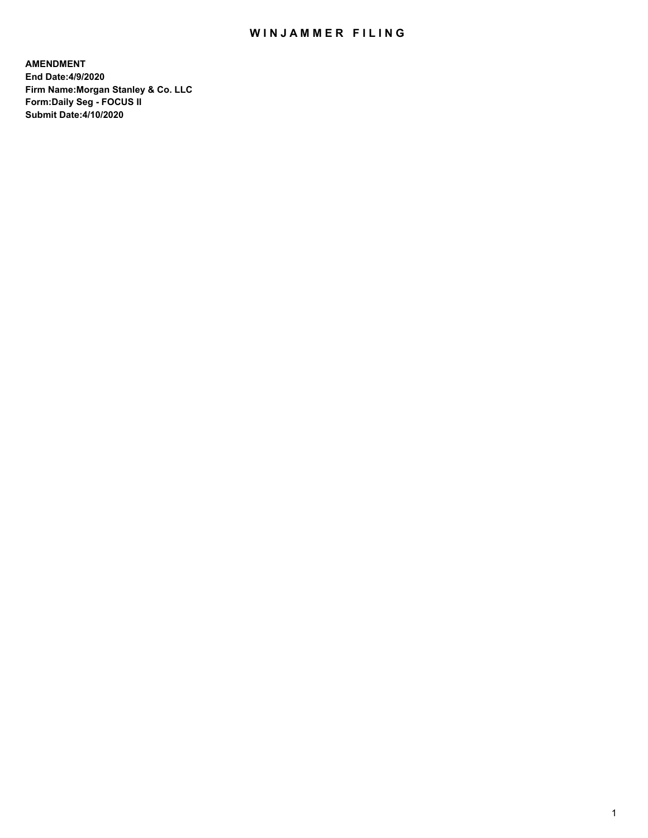## WIN JAMMER FILING

**AMENDMENT End Date:4/9/2020 Firm Name:Morgan Stanley & Co. LLC Form:Daily Seg - FOCUS II Submit Date:4/10/2020**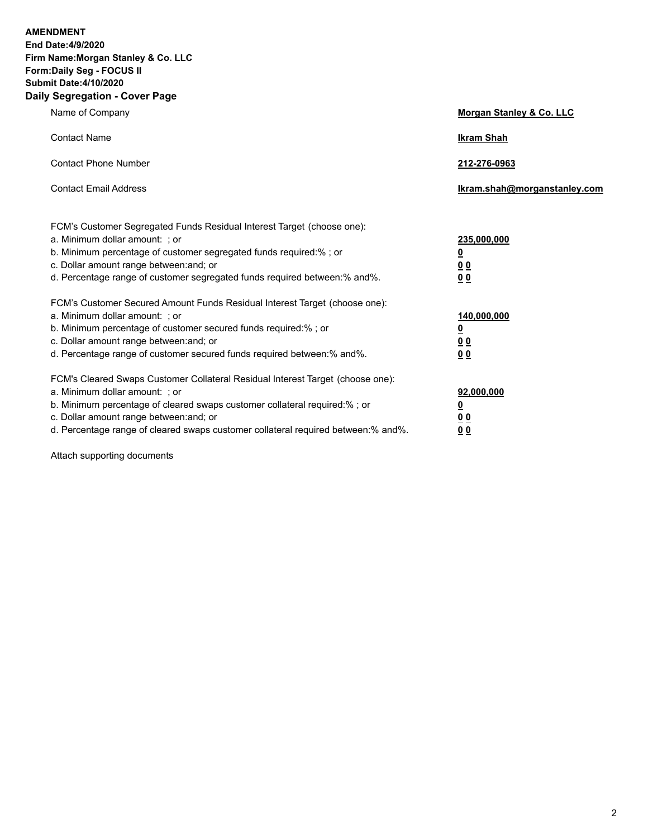**AMENDMENT** 

**End Date:4/9/2020 Firm Name:Morgan Stanley & Co. LLC Form:Daily Seg - FOCUS II Submit Date:4/10/2020 Daily Segregation - Cover Page**

| Name of Company                                                                                                                                                                                                                                                                                                                | Morgan Stanley & Co. LLC                                    |
|--------------------------------------------------------------------------------------------------------------------------------------------------------------------------------------------------------------------------------------------------------------------------------------------------------------------------------|-------------------------------------------------------------|
| <b>Contact Name</b>                                                                                                                                                                                                                                                                                                            | <b>Ikram Shah</b>                                           |
| <b>Contact Phone Number</b>                                                                                                                                                                                                                                                                                                    | 212-276-0963                                                |
| <b>Contact Email Address</b>                                                                                                                                                                                                                                                                                                   | Ikram.shah@morganstanley.com                                |
| FCM's Customer Segregated Funds Residual Interest Target (choose one):<br>a. Minimum dollar amount: ; or<br>b. Minimum percentage of customer segregated funds required:% ; or<br>c. Dollar amount range between: and; or                                                                                                      | 235,000,000<br><u>0</u>                                     |
| d. Percentage range of customer segregated funds required between:% and%.                                                                                                                                                                                                                                                      | <u>00</u><br>00                                             |
| FCM's Customer Secured Amount Funds Residual Interest Target (choose one):<br>a. Minimum dollar amount: ; or<br>b. Minimum percentage of customer secured funds required:%; or<br>c. Dollar amount range between: and; or<br>d. Percentage range of customer secured funds required between:% and%.                            | 140,000,000<br><u>0</u><br>0 <sub>0</sub><br>0 <sub>0</sub> |
| FCM's Cleared Swaps Customer Collateral Residual Interest Target (choose one):<br>a. Minimum dollar amount: ; or<br>b. Minimum percentage of cleared swaps customer collateral required:% ; or<br>c. Dollar amount range between: and; or<br>d. Percentage range of cleared swaps customer collateral required between:% and%. | 92,000,000<br><u>0</u><br><u>0 0</u><br>0 <sub>0</sub>      |

Attach supporting documents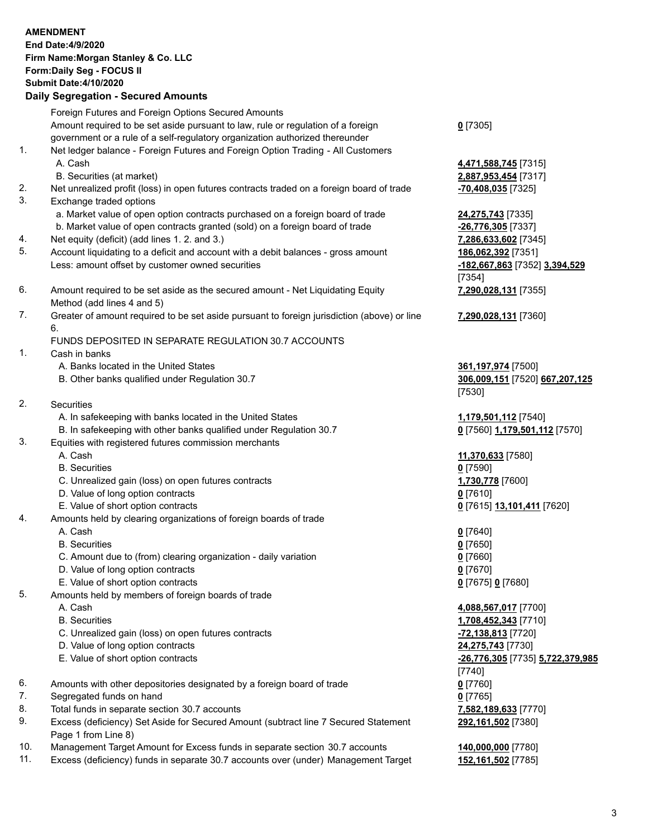|          | <b>AMENDMENT</b><br>End Date: 4/9/2020<br>Firm Name: Morgan Stanley & Co. LLC<br>Form: Daily Seg - FOCUS II<br><b>Submit Date:4/10/2020</b><br><b>Daily Segregation - Secured Amounts</b> |                                                       |
|----------|-------------------------------------------------------------------------------------------------------------------------------------------------------------------------------------------|-------------------------------------------------------|
|          | Foreign Futures and Foreign Options Secured Amounts<br>Amount required to be set aside pursuant to law, rule or regulation of a foreign                                                   | $0$ [7305]                                            |
| 1.       | government or a rule of a self-regulatory organization authorized thereunder<br>Net ledger balance - Foreign Futures and Foreign Option Trading - All Customers                           |                                                       |
|          | A. Cash<br>B. Securities (at market)                                                                                                                                                      | 4,471,588,745 [7315]<br>2,887,953,454 [7317]          |
| 2.       | Net unrealized profit (loss) in open futures contracts traded on a foreign board of trade                                                                                                 | -70,408,035 [7325]                                    |
| 3.       | Exchange traded options<br>a. Market value of open option contracts purchased on a foreign board of trade                                                                                 | 24,275,743 [7335]                                     |
|          | b. Market value of open contracts granted (sold) on a foreign board of trade                                                                                                              | -26,776,305 [7337]                                    |
| 4.<br>5. | Net equity (deficit) (add lines 1. 2. and 3.)<br>Account liquidating to a deficit and account with a debit balances - gross amount                                                        | 7,286,633,602 [7345]<br>186,062,392 [7351]            |
|          | Less: amount offset by customer owned securities                                                                                                                                          | -182,667,863 [7352] 3,394,529<br>[7354]               |
| 6.       | Amount required to be set aside as the secured amount - Net Liquidating Equity<br>Method (add lines 4 and 5)                                                                              | 7,290,028,131 [7355]                                  |
| 7.       | Greater of amount required to be set aside pursuant to foreign jurisdiction (above) or line<br>6.                                                                                         | 7,290,028,131 [7360]                                  |
|          | FUNDS DEPOSITED IN SEPARATE REGULATION 30.7 ACCOUNTS                                                                                                                                      |                                                       |
| 1.       | Cash in banks<br>A. Banks located in the United States                                                                                                                                    | 361,197,974 [7500]                                    |
|          | B. Other banks qualified under Regulation 30.7                                                                                                                                            | 306,009,151 [7520] 667,207,125<br>[7530]              |
| 2.       | Securities                                                                                                                                                                                |                                                       |
|          | A. In safekeeping with banks located in the United States<br>B. In safekeeping with other banks qualified under Regulation 30.7                                                           | 1,179,501,112 [7540]<br>0 [7560] 1,179,501,112 [7570] |
| 3.       | Equities with registered futures commission merchants<br>A. Cash                                                                                                                          |                                                       |
|          | <b>B.</b> Securities                                                                                                                                                                      | 11,370,633 [7580]<br>$0$ [7590]                       |
|          | C. Unrealized gain (loss) on open futures contracts                                                                                                                                       | 1,730,778 [7600]                                      |
|          | D. Value of long option contracts                                                                                                                                                         | $0$ [7610]                                            |
|          | E. Value of short option contracts                                                                                                                                                        | 0 [7615] 13,101,411 [7620]                            |
| 4.       | Amounts held by clearing organizations of foreign boards of trade                                                                                                                         |                                                       |
|          | A. Cash                                                                                                                                                                                   | $0$ [7640]                                            |
|          | <b>B.</b> Securities                                                                                                                                                                      | $0$ [7650]                                            |
|          | C. Amount due to (from) clearing organization - daily variation                                                                                                                           | $0$ [7660]                                            |
|          | D. Value of long option contracts                                                                                                                                                         | $0$ [7670]                                            |
|          | E. Value of short option contracts                                                                                                                                                        | 0 [7675] 0 [7680]                                     |
| 5.       | Amounts held by members of foreign boards of trade                                                                                                                                        |                                                       |
|          | A. Cash<br><b>B.</b> Securities                                                                                                                                                           | 4,088,567,017 [7700]<br>1,708,452,343 [7710]          |
|          | C. Unrealized gain (loss) on open futures contracts                                                                                                                                       | -72,138,813 [7720]                                    |
|          | D. Value of long option contracts                                                                                                                                                         | 24,275,743 [7730]                                     |
|          | E. Value of short option contracts                                                                                                                                                        | <u>-26,776,305</u> [7735] 5,722,379,985               |
| 6.       |                                                                                                                                                                                           | $[7740]$                                              |
| 7.       | Amounts with other depositories designated by a foreign board of trade<br>Segregated funds on hand                                                                                        | $0$ [7760]<br>$0$ [7765]                              |
| 8.       | Total funds in separate section 30.7 accounts                                                                                                                                             | 7,582,189,633 [7770]                                  |
| 9.       | Excess (deficiency) Set Aside for Secured Amount (subtract line 7 Secured Statement                                                                                                       | 292,161,502 [7380]                                    |
|          | Page 1 from Line 8)                                                                                                                                                                       |                                                       |
| 10.      | Management Target Amount for Excess funds in separate section 30.7 accounts                                                                                                               | 140,000,000 [7780]                                    |
| 11.      | Excess (deficiency) funds in separate 30.7 accounts over (under) Management Target                                                                                                        | 152,161,502 [7785]                                    |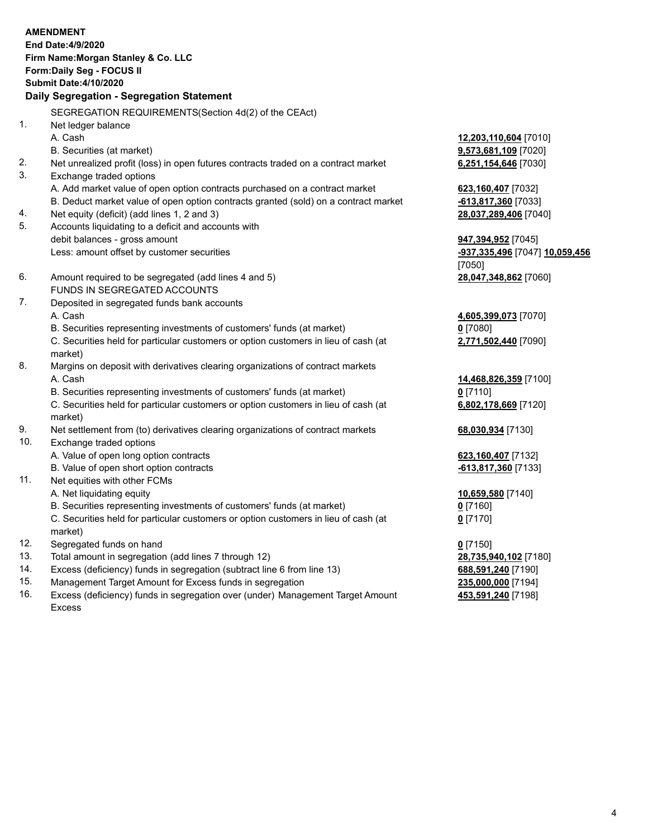|     | <b>AMENDMENT</b><br>End Date: 4/9/2020<br>Firm Name: Morgan Stanley & Co. LLC                  |                                |
|-----|------------------------------------------------------------------------------------------------|--------------------------------|
|     | Form: Daily Seg - FOCUS II                                                                     |                                |
|     | <b>Submit Date:4/10/2020</b>                                                                   |                                |
|     | Daily Segregation - Segregation Statement                                                      |                                |
|     | SEGREGATION REQUIREMENTS(Section 4d(2) of the CEAct)                                           |                                |
| 1.  | Net ledger balance                                                                             |                                |
|     | A. Cash                                                                                        | 12,203,110,604 [7010]          |
|     | B. Securities (at market)                                                                      | 9,573,681,109 [7020]           |
| 2.  | Net unrealized profit (loss) in open futures contracts traded on a contract market             | 6,251,154,646 [7030]           |
| 3.  | Exchange traded options                                                                        |                                |
|     | A. Add market value of open option contracts purchased on a contract market                    | 623,160,407 [7032]             |
|     | B. Deduct market value of open option contracts granted (sold) on a contract market            | -613,817,360 [7033]            |
| 4.  | Net equity (deficit) (add lines 1, 2 and 3)                                                    | 28,037,289,406 [7040]          |
| 5.  | Accounts liquidating to a deficit and accounts with                                            |                                |
|     | debit balances - gross amount                                                                  | 947,394,952 [7045]             |
|     | Less: amount offset by customer securities                                                     | -937,335,496 [7047] 10,059,456 |
|     |                                                                                                | [7050]                         |
| 6.  | Amount required to be segregated (add lines 4 and 5)                                           | 28,047,348,862 [7060]          |
|     | FUNDS IN SEGREGATED ACCOUNTS                                                                   |                                |
| 7.  | Deposited in segregated funds bank accounts                                                    |                                |
|     | A. Cash                                                                                        | 4,605,399,073 [7070]           |
|     | B. Securities representing investments of customers' funds (at market)                         | $0$ [7080]                     |
|     | C. Securities held for particular customers or option customers in lieu of cash (at<br>market) | 2,771,502,440 [7090]           |
| 8.  | Margins on deposit with derivatives clearing organizations of contract markets                 |                                |
|     | A. Cash                                                                                        | 14,468,826,359 [7100]          |
|     | B. Securities representing investments of customers' funds (at market)                         | $0$ [7110]                     |
|     | C. Securities held for particular customers or option customers in lieu of cash (at<br>market) | 6,802,178,669 [7120]           |
| 9.  | Net settlement from (to) derivatives clearing organizations of contract markets                | 68,030,934 [7130]              |
| 10. | Exchange traded options                                                                        |                                |
|     | A. Value of open long option contracts                                                         | 623,160,407 [7132]             |
|     | B. Value of open short option contracts                                                        | -613,817,360 [7133]            |
| 11. | Net equities with other FCMs                                                                   |                                |
|     | A. Net liquidating equity                                                                      | 10,659,580 [7140]              |
|     | B. Securities representing investments of customers' funds (at market)                         | $0$ [7160]                     |
|     | C. Securities held for particular customers or option customers in lieu of cash (at<br>market) | $0$ [7170]                     |
| 12. | Segregated funds on hand                                                                       | $0$ [7150]                     |
| 13. | Total amount in segregation (add lines 7 through 12)                                           | 28,735,940,102 [7180]          |
| 14. | Excess (deficiency) funds in segregation (subtract line 6 from line 13)                        | 688,591,240 [7190]             |
|     |                                                                                                |                                |

- 
- 15. Management Target Amount for Excess funds in segregation<br>16. Excess (deficiency) funds in segregation over (under) Management Target Amount **235,591,240** [7198] Excess (deficiency) funds in segregation over (under) Management Target Amount Excess

**453,591,240** [7198]